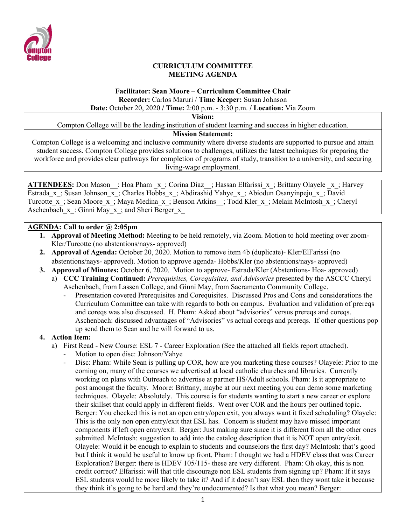

### **CURRICULUM COMMITTEE MEETING AGENDA**

# **Facilitator: Sean Moore – Curriculum Committee Chair Recorder:** Carlos Maruri / **Time Keeper:** Susan Johnson

**Date:** October 20, 2020 **/ Time:** 2:00 p.m. - 3:30 p.m. **/ Location:** Via Zoom

**Vision:**

Compton College will be the leading institution of student learning and success in higher education.

### **Mission Statement:**

Compton College is a welcoming and inclusive community where diverse students are supported to pursue and attain student success. Compton College provides solutions to challenges, utilizes the latest techniques for preparing the workforce and provides clear pathways for completion of programs of study, transition to a university, and securing living-wage employment.

**ATTENDEES:** Don Mason : Hoa Pham x; Corina Diaz ; Hassan Elfarissi x; Brittany Olayele x; Harvey Estrada x; Susan Johnson x; Charles Hobbs x; Abdirashid Yahye x; Abiodun Osanyinpeju x; David Turcotte\_x\_; Sean Moore\_x\_; Maya Medina\_x\_; Benson Atkins\_\_; Todd Kler\_x\_; Melain McIntosh\_x\_; Cheryl Aschenbach  $x:$  Ginni May  $x$ ; and Sheri Berger  $x$ 

### **AGENDA: Call to order @ 2:05pm**

- **1. Approval of Meeting Method:** Meeting to be held remotely, via Zoom. Motion to hold meeting over zoom-Kler/Turcotte (no abstentions/nays- approved)
- **2. Approval of Agenda:** October 20, 2020. Motion to remove item 4b (duplicate)- Kler/ElFarissi (no abstentions/nays- approved). Motion to approve agenda- Hobbs/Kler (no abstentions/nays- approved)
- **3. Approval of Minutes:** October 6, 2020. Motion to approve- Estrada/Kler (Abstentions- Hoa- approved)
	- a) **CCC Training Continued:** *Prerequisites, Corequisites, and Advisories* presented by the ASCCC Cheryl Aschenbach, from Lassen College, and Ginni May, from Sacramento Community College.
		- Presentation covered Prerequisites and Corequisites. Discussed Pros and Cons and considerations the Curriculum Committee can take with regards to both on campus. Evaluation and validation of prereqs and coreqs was also discussed. H. Pham: Asked about "advisories" versus prereqs and coreqs. Aschenbach: discussed advantages of "Advisories" vs actual coreqs and prereqs. If other questions pop up send them to Sean and he will forward to us.

## **4. Action Item:**

- a) First Read New Course: ESL 7 Career Exploration (See the attached all fields report attached).
	- Motion to open disc: Johnson/Yahye
	- Disc: Pham: While Sean is pulling up COR, how are you marketing these courses? Olayele: Prior to me coming on, many of the courses we advertised at local catholic churches and libraries. Currently working on plans with Outreach to advertise at partner HS/Adult schools. Pham: Is it appropriate to post amongst the faculty. Moore: Brittany, maybe at our next meeting you can demo some marketing techniques. Olayele: Absolutely. This course is for students wanting to start a new career or explore their skillset that could apply in different fields. Went over COR and the hours per outlined topic. Berger: You checked this is not an open entry/open exit, you always want it fixed scheduling? Olayele: This is the only non open entry/exit that ESL has. Concern is student may have missed important components if left open entry/exit. Berger: Just making sure since it is different from all the other ones submitted. McIntosh: suggestion to add into the catalog description that it is NOT open entry/exit. Olayele: Would it be enough to explain to students and counselors the first day? McIntosh: that's good but I think it would be useful to know up front. Pham: I thought we had a HDEV class that was Career Exploration? Berger: there is HDEV 105/115- these are very different. Pham: Oh okay, this is non credit correct? Elfarissi: will that title discourage non ESL students from signing up? Pham: If it says ESL students would be more likely to take it? And if it doesn't say ESL then they wont take it because they think it's going to be hard and they're undocumented? Is that what you mean? Berger: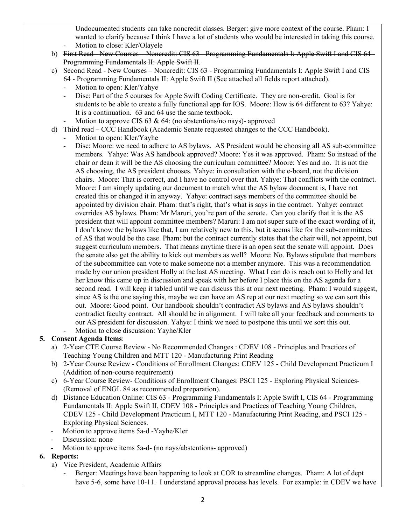Undocumented students can take noncredit classes. Berger: give more context of the course. Pham: I wanted to clarify because I think I have a lot of students who would be interested in taking this course. Motion to close: Kler/Olayele

- b) First Read New Courses Noncredit: CIS 63 Programming Fundamentals I: Apple Swift I and CIS 64 -Programming Fundamentals II: Apple Swift II.
- c) Second Read New Courses Noncredit: CIS 63 Programming Fundamentals I: Apple Swift I and CIS 64 - Programming Fundamentals II: Apple Swift II (See attached all fields report attached).
	- Motion to open: Kler/Yahye
	- Disc: Part of the 5 courses for Apple Swift Coding Certificate. They are non-credit. Goal is for students to be able to create a fully functional app for IOS. Moore: How is 64 different to 63? Yahye: It is a continuation. 63 and 64 use the same textbook.
	- Motion to approve CIS  $63 \& 64$ : (no abstentions/no nays)- approved
- d) Third read CCC Handbook (Academic Senate requested changes to the CCC Handbook).
	- Motion to open: Kler/Yayhe
		- Disc: Moore: we need to adhere to AS bylaws. AS President would be choosing all AS sub-committee members. Yahye: Was AS handbook approved? Moore: Yes it was approved. Pham: So instead of the chair or dean it will be the AS choosing the curriculum committee? Moore: Yes and no. It is not the AS choosing, the AS president chooses. Yahye: in consultation with the e-board, not the division chairs. Moore: That is correct, and I have no control over that. Yahye: That conflicts with the contract. Moore: I am simply updating our document to match what the AS bylaw document is, I have not created this or changed it in anyway. Yahye: contract says members of the committee should be appointed by division chair. Pham: that's right, that's what is says in the contract. Yahye: contract overrides AS bylaws. Pham: Mr Maruri, you're part of the senate. Can you clarify that it is the AS president that will appoint committee members? Maruri: I am not super sure of the exact wording of it, I don't know the bylaws like that, I am relatively new to this, but it seems like for the sub-committees of AS that would be the case. Pham: but the contract currently states that the chair will, not appoint, but suggest curriculum members. That means anytime there is an open seat the senate will appoint. Does the senate also get the ability to kick out members as well? Moore: No. Bylaws stipulate that members of the subcommittee can vote to make someone not a member anymore. This was a recommendation made by our union president Holly at the last AS meeting. What I can do is reach out to Holly and let her know this came up in discussion and speak with her before I place this on the AS agenda for a second read. I will keep it tabled until we can discuss this at our next meeting. Pham: I would suggest, since AS is the one saying this, maybe we can have an AS rep at our next meeting so we can sort this out. Moore: Good point. Our handbook shouldn't contradict AS bylaws and AS bylaws shouldn't contradict faculty contract. All should be in alignment. I will take all your feedback and comments to our AS president for discussion. Yahye: I think we need to postpone this until we sort this out.
	- Motion to close discussion: Yayhe/Kler

## **5. Consent Agenda Items**:

- a) 2-Year CTE Course Review No Recommended Changes : CDEV 108 Principles and Practices of Teaching Young Children and MTT 120 - Manufacturing Print Reading
- b) 2-Year Course Review Conditions of Enrollment Changes: CDEV 125 Child Development Practicum I (Addition of non-course requirement)
- c) 6-Year Course Review- Conditions of Enrollment Changes: PSCI 125 Exploring Physical Sciences- (Removal of ENGL 84 as recommended preparation).
- d) Distance Education Online: CIS 63 Programming Fundamentals I: Apple Swift I, CIS 64 Programming Fundamentals II: Apple Swift II, CDEV 108 - Principles and Practices of Teaching Young Children, CDEV 125 - Child Development Practicum I, MTT 120 - Manufacturing Print Reading, and PSCI 125 - Exploring Physical Sciences.
- Motion to approve items 5a-d -Yayhe/Kler
- Discussion: none
- Motion to approve items 5a-d- (no nays/abstentions- approved)

#### **6. Reports:**

- a) Vice President, Academic Affairs
	- Berger: Meetings have been happening to look at COR to streamline changes. Pham: A lot of dept have 5-6, some have 10-11. I understand approval process has levels. For example: in CDEV we have